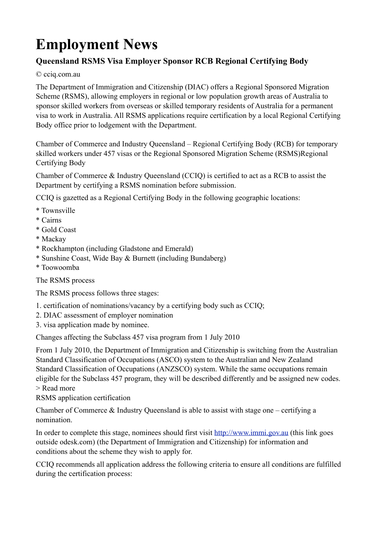## **Employment News**

## **Queensland RSMS Visa Employer Sponsor RCB Regional Certifying Body**

© cciq.com.au

The Department of Immigration and Citizenship (DIAC) offers a Regional Sponsored Migration Scheme (RSMS), allowing employers in regional or low population growth areas of Australia to sponsor skilled workers from overseas or skilled temporary residents of Australia for a permanent visa to work in Australia. All RSMS applications require certification by a local Regional Certifying Body office prior to lodgement with the Department.

Chamber of Commerce and Industry Queensland – Regional Certifying Body (RCB) for temporary skilled workers under 457 visas or the Regional Sponsored Migration Scheme (RSMS)Regional Certifying Body

Chamber of Commerce & Industry Queensland (CCIQ) is certified to act as a RCB to assist the Department by certifying a RSMS nomination before submission.

CCIQ is gazetted as a Regional Certifying Body in the following geographic locations:

- \* Townsville
- \* Cairns
- \* Gold Coast
- \* Mackay
- \* Rockhampton (including Gladstone and Emerald)
- \* Sunshine Coast, Wide Bay & Burnett (including Bundaberg)
- \* Toowoomba

The RSMS process

The RSMS process follows three stages:

- 1. certification of nominations/vacancy by a certifying body such as CCIQ;
- 2. DIAC assessment of employer nomination
- 3. visa application made by nominee.

Changes affecting the Subclass 457 visa program from 1 July 2010

From 1 July 2010, the Department of Immigration and Citizenship is switching from the Australian Standard Classification of Occupations (ASCO) system to the Australian and New Zealand Standard Classification of Occupations (ANZSCO) system. While the same occupations remain eligible for the Subclass 457 program, they will be described differently and be assigned new codes. > Read more

RSMS application certification

Chamber of Commerce  $\&$  Industry Queensland is able to assist with stage one – certifying a nomination.

In order to complete this stage, nominees should first visit<http://www.immi.gov.au> (this link goes outside odesk.com) (the Department of Immigration and Citizenship) for information and conditions about the scheme they wish to apply for.

CCIQ recommends all application address the following criteria to ensure all conditions are fulfilled during the certification process: